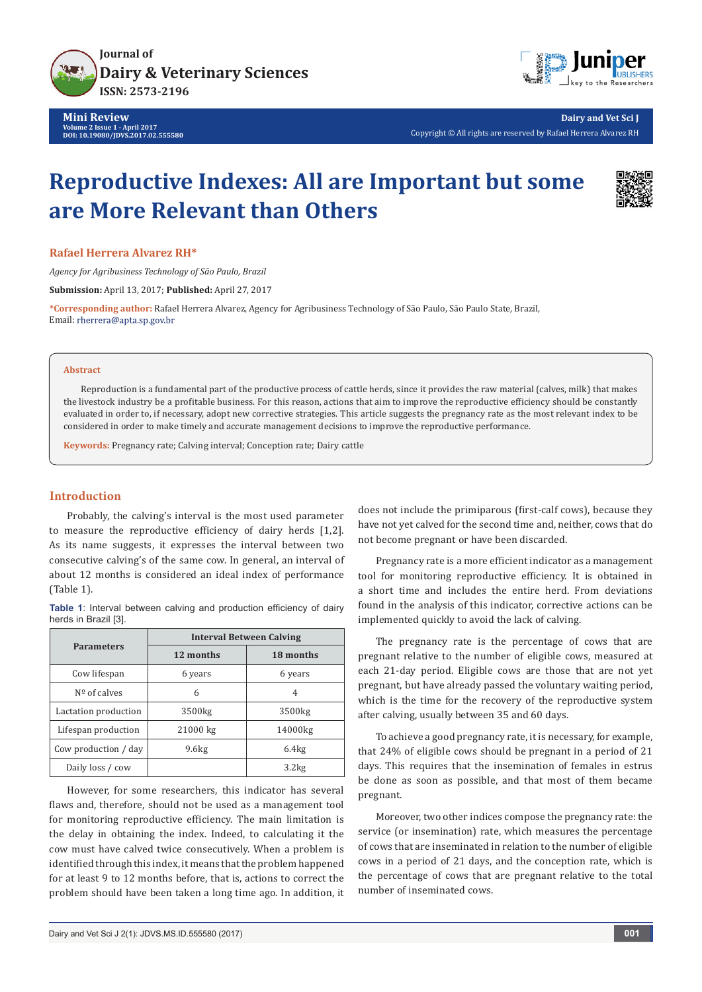

**Mini Review Volume 2 Issue 1 - April 2017 DOI: [10.19080/JDVS.2017.02.555580](http://dx.doi.org/10.19080/JDVS.2017.02.555580
)**



**Dairy and Vet Sci J** Copyright © All rights are reserved by Rafael Herrera Alvarez RH

# **Reproductive Indexes: All are Important but some are More Relevant than Others**



**Rafael Herrera Alvarez RH\***

*Agency for Agribusiness Technology of São Paulo, Brazil*

**Submission:** April 13, 2017; **Published:** April 27, 2017

**\*Corresponding author:** Rafael Herrera Alvarez, Agency for Agribusiness Technology of São Paulo, São Paulo State, Brazil, Email: rherrera@apta.sp.gov.br

#### **Abstract**

Reproduction is a fundamental part of the productive process of cattle herds, since it provides the raw material (calves, milk) that makes the livestock industry be a profitable business. For this reason, actions that aim to improve the reproductive efficiency should be constantly evaluated in order to, if necessary, adopt new corrective strategies. This article suggests the pregnancy rate as the most relevant index to be considered in order to make timely and accurate management decisions to improve the reproductive performance.

**Keywords:** Pregnancy rate; Calving interval; Conception rate; Dairy cattle

## **Introduction**

Probably, the calving's interval is the most used parameter to measure the reproductive efficiency of dairy herds [1,2]. As its name suggests, it expresses the interval between two consecutive calving's of the same cow. In general, an interval of about 12 months is considered an ideal index of performance (Table 1).

**Table 1**: Interval between calving and production efficiency of dairy herds in Brazil [3].

| <b>Parameters</b>     | <b>Interval Between Calving</b> |                    |
|-----------------------|---------------------------------|--------------------|
|                       | 12 months                       | 18 months          |
| Cow lifespan          | 6 years                         | 6 years            |
| $N^{\circ}$ of calves | 6                               | 4                  |
| Lactation production  | 3500 <sub>kg</sub>              | 3500 <sub>kg</sub> |
| Lifespan production   | 21000 kg                        | 14000kg            |
| Cow production / day  | 9.6kg                           | 6.4kg              |
| Daily loss / cow      |                                 | 3.2kg              |

However, for some researchers, this indicator has several flaws and, therefore, should not be used as a management tool for monitoring reproductive efficiency. The main limitation is the delay in obtaining the index. Indeed, to calculating it the cow must have calved twice consecutively. When a problem is identified through this index, it means that the problem happened for at least 9 to 12 months before, that is, actions to correct the problem should have been taken a long time ago. In addition, it does not include the primiparous (first-calf cows), because they have not yet calved for the second time and, neither, cows that do not become pregnant or have been discarded.

Pregnancy rate is a more efficient indicator as a management tool for monitoring reproductive efficiency. It is obtained in a short time and includes the entire herd. From deviations found in the analysis of this indicator, corrective actions can be implemented quickly to avoid the lack of calving.

The pregnancy rate is the percentage of cows that are pregnant relative to the number of eligible cows, measured at each 21-day period. Eligible cows are those that are not yet pregnant, but have already passed the voluntary waiting period, which is the time for the recovery of the reproductive system after calving, usually between 35 and 60 days.

To achieve a good pregnancy rate, it is necessary, for example, that 24% of eligible cows should be pregnant in a period of 21 days. This requires that the insemination of females in estrus be done as soon as possible, and that most of them became pregnant.

Moreover, two other indices compose the pregnancy rate: the service (or insemination) rate, which measures the percentage of cows that are inseminated in relation to the number of eligible cows in a period of 21 days, and the conception rate, which is the percentage of cows that are pregnant relative to the total number of inseminated cows.